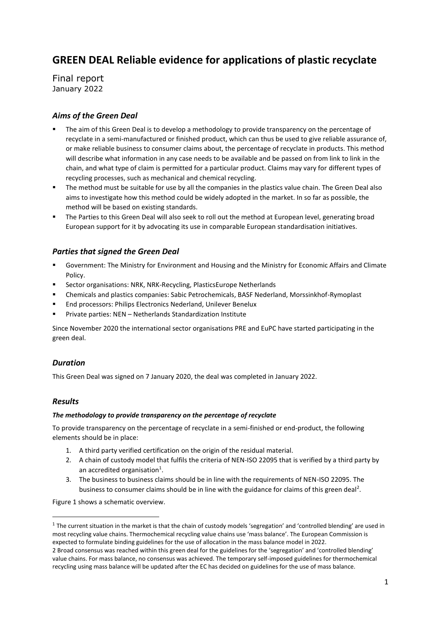# **GREEN DEAL Reliable evidence for applications of plastic recyclate**

Final report January 2022

# *Aims of the Green Deal*

- The aim of this Green Deal is to develop a methodology to provide transparency on the percentage of recyclate in a semi-manufactured or finished product, which can thus be used to give reliable assurance of, or make reliable business to consumer claims about, the percentage of recyclate in products. This method will describe what information in any case needs to be available and be passed on from link to link in the chain, and what type of claim is permitted for a particular product. Claims may vary for different types of recycling processes, such as mechanical and chemical recycling.
- **■** The method must be suitable for use by all the companies in the plastics value chain. The Green Deal also aims to investigate how this method could be widely adopted in the market. In so far as possible, the method will be based on existing standards.
- The Parties to this Green Deal will also seek to roll out the method at European level, generating broad European support for it by advocating its use in comparable European standardisation initiatives.

# *Parties that signed the Green Deal*

- Government: The Ministry for Environment and Housing and the Ministry for Economic Affairs and Climate Policy.
- Sector organisations: NRK, NRK-Recycling, PlasticsEurope Netherlands
- Chemicals and plastics companies: Sabic Petrochemicals, BASF Nederland, Morssinkhof-Rymoplast
- End processors: Philips Electronics Nederland, Unilever Benelux
- Private parties: NEN Netherlands Standardization Institute

Since November 2020 the international sector organisations PRE and EuPC have started participating in the green deal.

# *Duration*

This Green Deal was signed on 7 January 2020, the deal was completed in January 2022.

# *Results*

# *The methodology to provide transparency on the percentage of recyclate*

To provide transparency on the percentage of recyclate in a semi-finished or end-product, the following elements should be in place:

- 1. A third party verified certification on the origin of the residual material.
- 2. A chain of custody model that fulfils the criteria of NEN-ISO 22095 that is verified by a third party by an accredited organisation<sup>1</sup>.
- 3. The business to business claims should be in line with the requirements of NEN-ISO 22095. The business to consumer claims should be in line with the guidance for claims of this green deal<sup>2</sup>.

Figure 1 shows a schematic overview.

 $1$  The current situation in the market is that the chain of custody models 'segregation' and 'controlled blending' are used in most recycling value chains. Thermochemical recycling value chains use 'mass balance'. The European Commission is expected to formulate binding guidelines for the use of allocation in the mass balance model in 2022.

<sup>2</sup> Broad consensus was reached within this green deal for the guidelines for the 'segregation' and 'controlled blending' value chains. For mass balance, no consensus was achieved. The temporary self-imposed guidelines for thermochemical recycling using mass balance will be updated after the EC has decided on guidelines for the use of mass balance.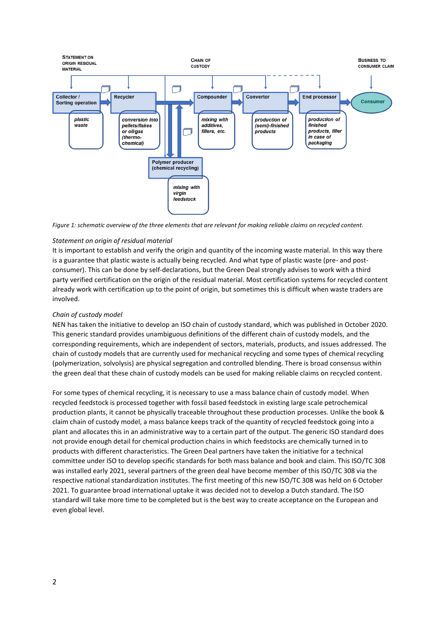

*Figure 1: schematic overview of the three elements that are relevant for making reliable claims on recycled content.*

### *Statement on origin of residual material*

It is important to establish and verify the origin and quantity of the incoming waste material. In this way there is a guarantee that plastic waste is actually being recycled. And what type of plastic waste (pre- and postconsumer). This can be done by self-declarations, but the Green Deal strongly advises to work with a third party verified certification on the origin of the residual material. Most certification systems for recycled content already work with certification up to the point of origin, but sometimes this is difficult when waste traders are involved.

#### *Chain of custody model*

NEN has taken the initiative to develop an ISO chain of custody standard, which was published in October 2020. This generic standard provides unambiguous definitions of the different chain of custody models, and the corresponding requirements, which are independent of sectors, materials, products, and issues addressed. The chain of custody models that are currently used for mechanical recycling and some types of chemical recycling (polymerization, solvolysis) are physical segregation and controlled blending. There is broad consensus within the green deal that these chain of custody models can be used for making reliable claims on recycled content.

For some types of chemical recycling, it is necessary to use a mass balance chain of custody model. When recycled feedstock is processed together with fossil based feedstock in existing large scale petrochemical production plants, it cannot be physically traceable throughout these production processes. Unlike the book & claim chain of custody model, a mass balance keeps track of the quantity of recycled feedstock going into a plant and allocates this in an administrative way to a certain part of the output. The generic ISO standard does not provide enough detail for chemical production chains in which feedstocks are chemically turned in to products with different characteristics. The Green Deal partners have taken the initiative for a technical committee under ISO to develop specific standards for both mass balance and book and claim. This ISO/TC 308 was installed early 2021, several partners of the green deal have become member of this ISO/TC 308 via the respective national standardization institutes. The first meeting of this new ISO/TC 308 was held on 6 October 2021. To guarantee broad international uptake it was decided not to develop a Dutch standard. The ISO standard will take more time to be completed but is the best way to create acceptance on the European and even global level.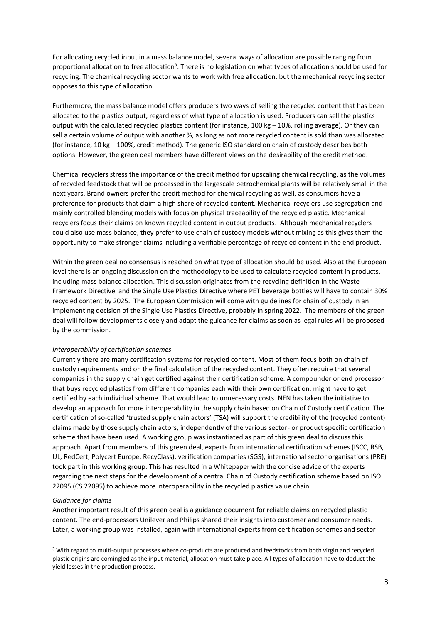For allocating recycled input in a mass balance model, several ways of allocation are possible ranging from proportional allocation to free allocation<sup>3</sup>. There is no legislation on what types of allocation should be used for recycling. The chemical recycling sector wants to work with free allocation, but the mechanical recycling sector opposes to this type of allocation.

Furthermore, the mass balance model offers producers two ways of selling the recycled content that has been allocated to the plastics output, regardless of what type of allocation is used. Producers can sell the plastics output with the calculated recycled plastics content (for instance, 100 kg – 10%, rolling average). Or they can sell a certain volume of output with another %, as long as not more recycled content is sold than was allocated (for instance, 10 kg – 100%, credit method). The generic ISO standard on chain of custody describes both options. However, the green deal members have different views on the desirability of the credit method.

Chemical recyclers stress the importance of the credit method for upscaling chemical recycling, as the volumes of recycled feedstock that will be processed in the largescale petrochemical plants will be relatively small in the next years. Brand owners prefer the credit method for chemical recycling as well, as consumers have a preference for products that claim a high share of recycled content. Mechanical recyclers use segregation and mainly controlled blending models with focus on physical traceability of the recycled plastic. Mechanical recyclers focus their claims on known recycled content in output products. Although mechanical recyclers could also use mass balance, they prefer to use chain of custody models without mixing as this gives them the opportunity to make stronger claims including a verifiable percentage of recycled content in the end product.

Within the green deal no consensus is reached on what type of allocation should be used. Also at the European level there is an ongoing discussion on the methodology to be used to calculate recycled content in products, including mass balance allocation. This discussion originates from the recycling definition in the Waste Framework Directive and the Single Use Plastics Directive where PET beverage bottles will have to contain 30% recycled content by 2025. The European Commission will come with guidelines for chain of custody in an implementing decision of the Single Use Plastics Directive, probably in spring 2022. The members of the green deal will follow developments closely and adapt the guidance for claims as soon as legal rules will be proposed by the commission.

#### *Interoperability of certification schemes*

Currently there are many certification systems for recycled content. Most of them focus both on chain of custody requirements and on the final calculation of the recycled content. They often require that several companies in the supply chain get certified against their certification scheme. A compounder or end processor that buys recycled plastics from different companies each with their own certification, might have to get certified by each individual scheme. That would lead to unnecessary costs. NEN has taken the initiative to develop an approach for more interoperability in the supply chain based on Chain of Custody certification. The certification of so-called 'trusted supply chain actors' (TSA) will support the credibility of the (recycled content) claims made by those supply chain actors, independently of the various sector- or product specific certification scheme that have been used. A working group was instantiated as part of this green deal to discuss this approach. Apart from members of this green deal, experts from international certification schemes (ISCC, RSB, UL, RedCert, Polycert Europe, RecyClass), verification companies (SGS), international sector organisations (PRE) took part in this working group. This has resulted in a Whitepaper with the concise advice of the experts regarding the next steps for the development of a central Chain of Custody certification scheme based on ISO 22095 (CS 22095) to achieve more interoperability in the recycled plastics value chain.

#### *Guidance for claims*

Another important result of this green deal is a guidance document for reliable claims on recycled plastic content. The end-processors Unilever and Philips shared their insights into customer and consumer needs. Later, a working group was installed, again with international experts from certification schemes and sector

<sup>3</sup> With regard to multi-output processes where co-products are produced and feedstocks from both virgin and recycled plastic origins are comingled as the input material, allocation must take place. All types of allocation have to deduct the yield losses in the production process.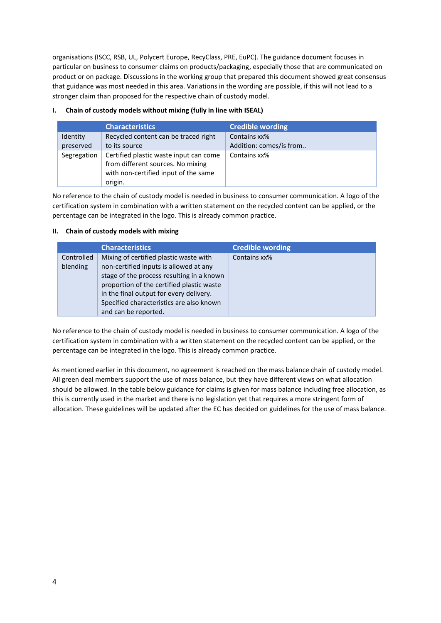organisations (ISCC, RSB, UL, Polycert Europe, RecyClass, PRE, EuPC). The guidance document focuses in particular on business to consumer claims on products/packaging, especially those that are communicated on product or on package. Discussions in the working group that prepared this document showed great consensus that guidance was most needed in this area. Variations in the wording are possible, if this will not lead to a stronger claim than proposed for the respective chain of custody model.

## **I. Chain of custody models without mixing (fully in line with ISEAL)**

|                              | <b>Characteristics</b>                                                                                                         | <b>Credible wording</b>                 |
|------------------------------|--------------------------------------------------------------------------------------------------------------------------------|-----------------------------------------|
| <b>Identity</b><br>preserved | Recycled content can be traced right<br>to its source                                                                          | Contains xx%<br>Addition: comes/is from |
| Segregation                  | Certified plastic waste input can come<br>from different sources. No mixing<br>with non-certified input of the same<br>origin. | Contains xx%                            |

No reference to the chain of custody model is needed in business to consumer communication. A logo of the certification system in combination with a written statement on the recycled content can be applied, or the percentage can be integrated in the logo. This is already common practice.

# **II. Chain of custody models with mixing**

|                        | <b>Characteristics</b>                                                                                                                                                                                                                                                                    | <b>Credible wording</b> |
|------------------------|-------------------------------------------------------------------------------------------------------------------------------------------------------------------------------------------------------------------------------------------------------------------------------------------|-------------------------|
| Controlled<br>blending | Mixing of certified plastic waste with<br>non-certified inputs is allowed at any<br>stage of the process resulting in a known<br>proportion of the certified plastic waste<br>in the final output for every delivery.<br>Specified characteristics are also known<br>and can be reported. | Contains xx%            |

No reference to the chain of custody model is needed in business to consumer communication. A logo of the certification system in combination with a written statement on the recycled content can be applied, or the percentage can be integrated in the logo. This is already common practice.

As mentioned earlier in this document, no agreement is reached on the mass balance chain of custody model. All green deal members support the use of mass balance, but they have different views on what allocation should be allowed. In the table below guidance for claims is given for mass balance including free allocation, as this is currently used in the market and there is no legislation yet that requires a more stringent form of allocation. These guidelines will be updated after the EC has decided on guidelines for the use of mass balance.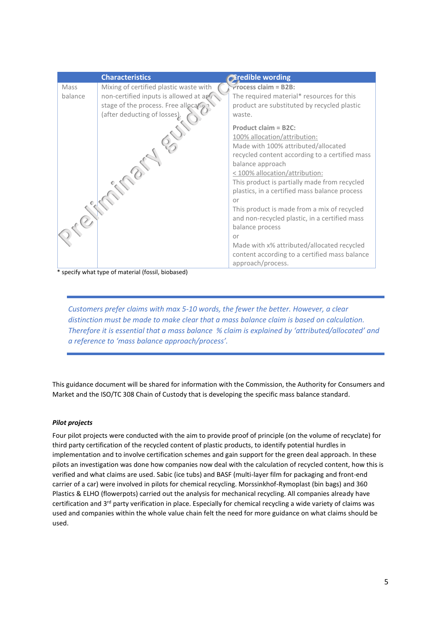|         | <b>Characteristics</b>                 | <b>Diredible wording</b>                       |
|---------|----------------------------------------|------------------------------------------------|
| Mass    | Mixing of certified plastic waste with | $r$ rocess claim = B2B:                        |
| balance | non-certified inputs is allowed at any | The required material* resources for this      |
|         | stage of the process. Free allocation  | product are substituted by recycled plastic    |
|         | (after deducting of losses).           | waste.                                         |
|         |                                        | Product claim = B2C:                           |
|         |                                        | 100% allocation/attribution:                   |
|         |                                        | Made with 100% attributed/allocated            |
|         |                                        | recycled content according to a certified mass |
|         |                                        | balance approach                               |
|         |                                        | < 100% allocation/attribution:                 |
|         |                                        | This product is partially made from recycled   |
|         |                                        | plastics, in a certified mass balance process  |
|         |                                        | or                                             |
|         |                                        | This product is made from a mix of recycled    |
|         |                                        | and non-recycled plastic, in a certified mass  |
|         |                                        | balance process                                |
|         |                                        | or                                             |
|         |                                        | Made with x% attributed/allocated recycled     |
|         |                                        | content according to a certified mass balance  |
|         |                                        | approach/process.                              |

\* specify what type of material (fossil, biobased)

*Customers prefer claims with max 5-10 words, the fewer the better. However, a clear distinction must be made to make clear that a mass balance claim is based on calculation. Therefore it is essential that a mass balance % claim is explained by 'attributed/allocated' and a reference to 'mass balance approach/process'.*

This guidance document will be shared for information with the Commission, the Authority for Consumers and Market and the ISO/TC 308 Chain of Custody that is developing the specific mass balance standard.

# *Pilot projects*

Four pilot projects were conducted with the aim to provide proof of principle (on the volume of recyclate) for third party certification of the recycled content of plastic products, to identify potential hurdles in implementation and to involve certification schemes and gain support for the green deal approach. In these pilots an investigation was done how companies now deal with the calculation of recycled content, how this is verified and what claims are used. Sabic (ice tubs) and BASF (multi-layer film for packaging and front-end carrier of a car) were involved in pilots for chemical recycling. Morssinkhof-Rymoplast (bin bags) and 360 Plastics & ELHO (flowerpots) carried out the analysis for mechanical recycling. All companies already have certification and 3<sup>rd</sup> party verification in place. Especially for chemical recycling a wide variety of claims was used and companies within the whole value chain felt the need for more guidance on what claims should be used.